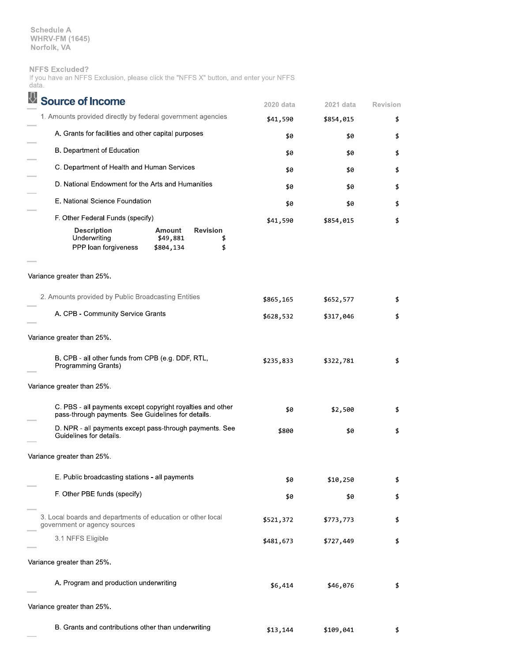**Schedule A** WHRV-FM (1645)<br>Norfolk, VA

## **NFFS Excluded?**

|       |  | If you have an NFFS Exclusion, please click the "NFFS X" button, and enter your NFFS |  |  |  |  |  |
|-------|--|--------------------------------------------------------------------------------------|--|--|--|--|--|
| data. |  |                                                                                      |  |  |  |  |  |

| <b>Source of Income</b>                                                                                          |                                        |                             | 2020 data | 2021 data | <b>Revision</b> |
|------------------------------------------------------------------------------------------------------------------|----------------------------------------|-----------------------------|-----------|-----------|-----------------|
| 1. Amounts provided directly by federal government agencies                                                      |                                        |                             | \$41,590  | \$854,015 | \$              |
| A. Grants for facilities and other capital purposes                                                              | \$0                                    | \$0                         | \$        |           |                 |
| B. Department of Education                                                                                       |                                        |                             | \$0       | \$0       | \$              |
| C. Department of Health and Human Services                                                                       |                                        |                             | \$0       | \$0       | \$              |
| D. National Endowment for the Arts and Humanities                                                                |                                        |                             | \$0       | \$0       | \$              |
| E. National Science Foundation                                                                                   |                                        |                             | \$0       | \$0       | \$              |
| F. Other Federal Funds (specify)                                                                                 |                                        |                             | \$41,590  | \$854,015 | \$              |
| <b>Description</b><br>Underwriting<br>PPP loan forgiveness                                                       | <b>Amount</b><br>\$49,881<br>\$804,134 | <b>Revision</b><br>\$<br>\$ |           |           |                 |
| Variance greater than 25%.                                                                                       |                                        |                             |           |           |                 |
| 2. Amounts provided by Public Broadcasting Entities                                                              |                                        |                             | \$865,165 | \$652,577 | \$              |
| A. CPB - Community Service Grants                                                                                |                                        |                             | \$628,532 | \$317,046 | \$              |
| Variance greater than 25%.                                                                                       |                                        |                             |           |           |                 |
| B. CPB - all other funds from CPB (e.g. DDF, RTL,<br>Programming Grants)                                         |                                        |                             | \$235,833 | \$322,781 | \$              |
| Variance greater than 25%.                                                                                       |                                        |                             |           |           |                 |
| C. PBS - all payments except copyright royalties and other<br>pass-through payments. See Guidelines for details. |                                        |                             | \$0       | \$2,500   | \$              |
| D. NPR - all payments except pass-through payments. See<br>Guidelines for details.                               |                                        |                             | \$800     | \$0       | \$              |
| Variance greater than 25%.                                                                                       |                                        |                             |           |           |                 |
| E. Public broadcasting stations - all payments                                                                   |                                        |                             | \$0       | \$10,250  | \$              |
| F. Other PBE funds (specify)                                                                                     |                                        |                             | \$0       | \$0       | \$              |
| 3. Local boards and departments of education or other local<br>government or agency sources                      |                                        |                             | \$521,372 | \$773,773 | \$              |
| 3.1 NFFS Eligible                                                                                                |                                        |                             | \$481,673 | \$727,449 | \$              |
| Variance greater than 25%.                                                                                       |                                        |                             |           |           |                 |
| A. Program and production underwriting                                                                           |                                        |                             | \$6,414   | \$46,076  | \$              |
| Variance greater than 25%.                                                                                       |                                        |                             |           |           |                 |
| B. Grants and contributions other than underwriting                                                              |                                        |                             | \$13,144  | \$109,041 |                 |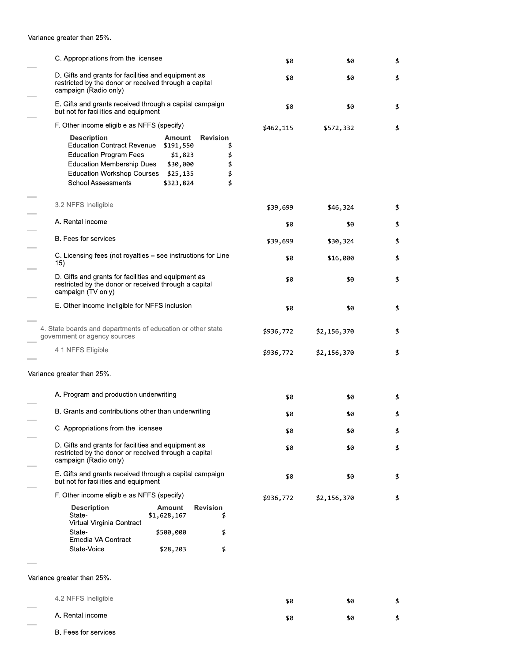Variance greater than 25%.

| C. Appropriations from the licensee                                                                                                                                                            |                                                                     |                                               |           |             |    |
|------------------------------------------------------------------------------------------------------------------------------------------------------------------------------------------------|---------------------------------------------------------------------|-----------------------------------------------|-----------|-------------|----|
|                                                                                                                                                                                                |                                                                     | \$0                                           | \$0       | \$          |    |
| D. Gifts and grants for facilities and equipment as<br>restricted by the donor or received through a capital<br>campaign (Radio only)                                                          |                                                                     | \$0                                           | \$0       | \$          |    |
| E. Gifts and grants received through a capital campaign<br>but not for facilities and equipment                                                                                                |                                                                     |                                               | \$0       | \$0         | \$ |
| F. Other income eligible as NFFS (specify)                                                                                                                                                     |                                                                     |                                               | \$462,115 | \$572,332   | \$ |
| <b>Description</b><br><b>Education Contract Revenue</b><br><b>Education Program Fees</b><br><b>Education Membership Dues</b><br><b>Education Workshop Courses</b><br><b>School Assessments</b> | Amount<br>\$191,550<br>\$1,823<br>\$30,000<br>\$25,135<br>\$323,824 | <b>Revision</b><br>\$<br>\$<br>\$<br>\$<br>\$ |           |             |    |
| 3.2 NFFS Ineligible                                                                                                                                                                            |                                                                     |                                               | \$39,699  | \$46,324    | \$ |
| A. Rental income                                                                                                                                                                               |                                                                     |                                               | \$0       | \$0         | \$ |
| <b>B.</b> Fees for services                                                                                                                                                                    |                                                                     |                                               | \$39,699  | \$30,324    | \$ |
| C. Licensing fees (not royalties - see instructions for Line<br>15)                                                                                                                            |                                                                     |                                               | \$0       | \$16,000    | \$ |
| D. Gifts and grants for facilities and equipment as<br>restricted by the donor or received through a capital<br>campaign (TV only)                                                             |                                                                     |                                               | \$0       | \$0         | \$ |
| E. Other income ineligible for NFFS inclusion                                                                                                                                                  |                                                                     |                                               | \$0       | \$0         | \$ |
| 4. State boards and departments of education or other state<br>government or agency sources                                                                                                    |                                                                     |                                               | \$936,772 | \$2,156,370 | \$ |
| 4.1 NFFS Eligible                                                                                                                                                                              |                                                                     |                                               | \$936,772 | \$2,156,370 | \$ |
| Variance greater than 25%.                                                                                                                                                                     |                                                                     |                                               |           |             |    |
| A. Program and production underwriting                                                                                                                                                         |                                                                     |                                               | \$0       | \$0         | \$ |
| B. Grants and contributions other than underwriting                                                                                                                                            |                                                                     |                                               | \$0       | \$0         | \$ |
| C. Appropriations from the licensee                                                                                                                                                            |                                                                     |                                               | \$0       | \$0         | \$ |
| D. Gifts and grants for facilities and equipment as<br>restricted by the donor or received through a capital<br>campaign (Radio only)                                                          |                                                                     |                                               | \$0       | \$0         | \$ |
| E. Gifts and grants received through a capital campaign<br>but not for facilities and equipment                                                                                                |                                                                     |                                               | \$0       | \$0         | \$ |
| F. Other income eligible as NFFS (specify)                                                                                                                                                     |                                                                     |                                               | \$936,772 | \$2,156,370 | \$ |
| <b>Description</b><br>State-<br>Virtual Virginia Contract                                                                                                                                      | Amount<br>\$1,628,167                                               | <b>Revision</b><br>\$                         |           |             |    |
| State-<br>Emedia VA Contract                                                                                                                                                                   | \$500,000                                                           | \$                                            |           |             |    |
| State-Voice                                                                                                                                                                                    | \$28,203                                                            | \$                                            |           |             |    |
| Variance greater than 25%.                                                                                                                                                                     |                                                                     |                                               |           |             |    |
|                                                                                                                                                                                                |                                                                     |                                               |           |             |    |
| 4.2 NFFS Ineligible                                                                                                                                                                            |                                                                     |                                               | \$0       | \$0         |    |

A. Rental income \$0 \$0  $\pmb{\mathfrak{z}}$ B. Fees for services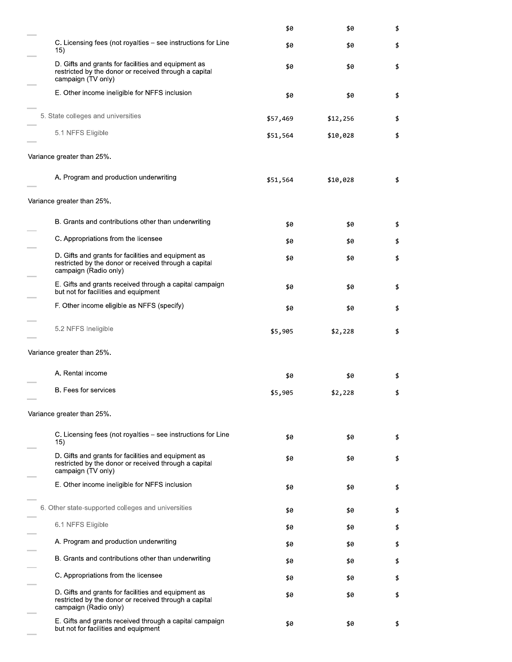|                                                                                                                                       | \$0      | \$0      | \$ |
|---------------------------------------------------------------------------------------------------------------------------------------|----------|----------|----|
| C. Licensing fees (not royalties – see instructions for Line<br>15)                                                                   | \$0      | \$0      | \$ |
| D. Gifts and grants for facilities and equipment as<br>restricted by the donor or received through a capital<br>campaign (TV only)    | \$0      | \$0      | \$ |
| E. Other income ineligible for NFFS inclusion                                                                                         | \$0      | \$0      | \$ |
| 5. State colleges and universities                                                                                                    | \$57,469 | \$12,256 | \$ |
| 5.1 NFFS Eligible                                                                                                                     | \$51,564 | \$10,028 | \$ |
| Variance greater than 25%.                                                                                                            |          |          |    |
| A. Program and production underwriting                                                                                                | \$51,564 | \$10,028 | \$ |
| Variance greater than 25%.                                                                                                            |          |          |    |
| B. Grants and contributions other than underwriting                                                                                   | \$0      | \$0      | \$ |
| C. Appropriations from the licensee                                                                                                   | \$0      | \$0      | \$ |
| D. Gifts and grants for facilities and equipment as<br>restricted by the donor or received through a capital<br>campaign (Radio only) | \$0      | \$0      | \$ |
| E. Gifts and grants received through a capital campaign<br>but not for facilities and equipment                                       | \$0      | \$0      | \$ |
| F. Other income eligible as NFFS (specify)                                                                                            | \$0      | \$0      | \$ |
| 5.2 NFFS Ineligible                                                                                                                   | \$5,905  | \$2,228  | \$ |
| Variance greater than 25%.                                                                                                            |          |          |    |
| A. Rental income                                                                                                                      | \$0      | \$0      | \$ |
| <b>B.</b> Fees for services                                                                                                           | \$5,905  | \$2,228  | \$ |
| Variance greater than 25%.                                                                                                            |          |          |    |
| C. Licensing fees (not royalties – see instructions for Line<br>15)                                                                   | \$0      | \$0      | \$ |
| D. Gifts and grants for facilities and equipment as<br>restricted by the donor or received through a capital<br>campaign (TV only)    | \$0      | \$0      | \$ |
| E. Other income ineligible for NFFS inclusion                                                                                         | \$0      | \$0      | \$ |
| 6. Other state-supported colleges and universities                                                                                    | \$0      | \$0      | \$ |
| 6.1 NFFS Eligible                                                                                                                     | \$0      | \$0      | \$ |
| A. Program and production underwriting                                                                                                | \$0      | \$0      | \$ |
| B. Grants and contributions other than underwriting                                                                                   | \$0      | \$0      | \$ |
| C. Appropriations from the licensee                                                                                                   | \$0      | \$0      | \$ |
| D. Gifts and grants for facilities and equipment as<br>restricted by the donor or received through a capital<br>campaign (Radio only) | \$0      | \$0      | \$ |
| E. Gifts and grants received through a capital campaign<br>but not for facilities and equipment                                       | \$0      | \$0      | \$ |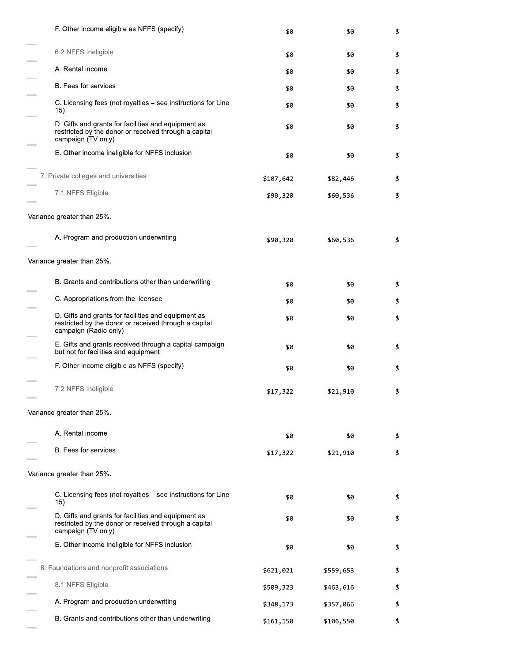| F. Other income eligible as NFFS (specify)                                                                                            | \$0       | \$0       | \$ |
|---------------------------------------------------------------------------------------------------------------------------------------|-----------|-----------|----|
| 6.2 NFFS Ineligible                                                                                                                   | \$0       | \$0       | \$ |
| A. Rental income                                                                                                                      | \$0       | \$0       | \$ |
| B. Fees for services                                                                                                                  | \$0       | \$0       | \$ |
| C. Licensing fees (not royalties – see instructions for Line<br>15)                                                                   | \$0       | \$0       | \$ |
| D. Gifts and grants for facilities and equipment as<br>restricted by the donor or received through a capital<br>campaign (TV only)    | \$0       | \$0       | \$ |
| E. Other income ineligible for NFFS inclusion                                                                                         | \$0       | \$0       | \$ |
| 7. Private colleges and universities                                                                                                  | \$107,642 | \$82,446  | \$ |
| 7.1 NFFS Eligible                                                                                                                     | \$90,320  | \$60,536  | \$ |
| Variance greater than 25%.                                                                                                            |           |           |    |
| A. Program and production underwriting                                                                                                | \$90,320  | \$60,536  | \$ |
| Variance greater than 25%.                                                                                                            |           |           |    |
| B. Grants and contributions other than underwriting                                                                                   | \$0       | \$0       | \$ |
| C. Appropriations from the licensee                                                                                                   | \$0       | \$0       | \$ |
| D. Gifts and grants for facilities and equipment as<br>restricted by the donor or received through a capital<br>campaign (Radio only) | \$0       | \$0       | \$ |
| E. Gifts and grants received through a capital campaign<br>but not for facilities and equipment                                       | \$0       | \$0       | \$ |
| F. Other income eligible as NFFS (specify)                                                                                            | \$0       | \$0       | \$ |
| 7.2 NFFS Ineligible                                                                                                                   | \$17,322  | \$21,910  | \$ |
| Variance greater than 25%.                                                                                                            |           |           |    |
| A. Rental income                                                                                                                      | \$0       | \$0       | \$ |
| <b>B.</b> Fees for services                                                                                                           | \$17,322  | \$21,910  | \$ |
| Variance greater than 25%.                                                                                                            |           |           |    |
| C. Licensing fees (not royalties – see instructions for Line<br>15)                                                                   | \$0       | \$0       | \$ |
| D. Gifts and grants for facilities and equipment as<br>restricted by the donor or received through a capital<br>campaign (TV only)    | \$0       | \$0       | \$ |
| E. Other income ineligible for NFFS inclusion                                                                                         | \$0       | \$0       | \$ |
| 8. Foundations and nonprofit associations                                                                                             | \$621,021 | \$559,653 | \$ |
| 8.1 NFFS Eligible                                                                                                                     | \$509,323 | \$463,616 | \$ |
| A. Program and production underwriting                                                                                                | \$348,173 | \$357,066 | \$ |
| B. Grants and contributions other than underwriting                                                                                   | \$161,150 | \$106,550 | \$ |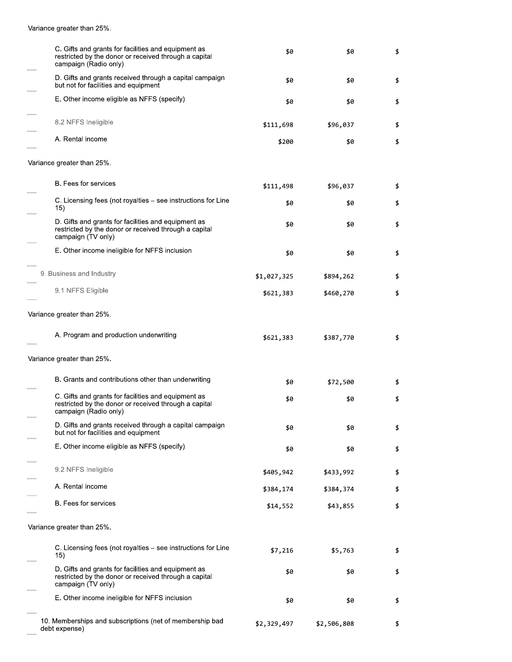Variance greater than 25%.

 $\overline{\phantom{a}}$ 

| C. Gifts and grants for facilities and equipment as<br>restricted by the donor or received through a capital<br>campaign (Radio only) | \$0         | \$0         | \$ |
|---------------------------------------------------------------------------------------------------------------------------------------|-------------|-------------|----|
| D. Gifts and grants received through a capital campaign<br>but not for facilities and equipment                                       | \$0         | \$0         | \$ |
| E. Other income eligible as NFFS (specify)                                                                                            | \$0         | \$0         | \$ |
| 8.2 NFFS Ineligible                                                                                                                   | \$111,698   | \$96,037    | \$ |
| A. Rental income                                                                                                                      | \$200       | \$0         | \$ |
| Variance greater than 25%.                                                                                                            |             |             |    |
| B. Fees for services                                                                                                                  | \$111,498   | \$96,037    | \$ |
| C. Licensing fees (not royalties – see instructions for Line<br>15)                                                                   | \$0         | \$0         | \$ |
| D. Gifts and grants for facilities and equipment as<br>restricted by the donor or received through a capital<br>campaign (TV only)    | \$0         | \$0         | \$ |
| E. Other income ineligible for NFFS inclusion                                                                                         | \$0         | \$0         | \$ |
| 9. Business and Industry                                                                                                              | \$1,027,325 | \$894,262   | \$ |
| 9.1 NFFS Eligible                                                                                                                     | \$621,383   | \$460,270   | \$ |
| Variance greater than 25%.                                                                                                            |             |             |    |
| A. Program and production underwriting                                                                                                | \$621,383   | \$387,770   | \$ |
| Variance greater than 25%.                                                                                                            |             |             |    |
| B. Grants and contributions other than underwriting                                                                                   | \$0         | \$72,500    | \$ |
| C. Gifts and grants for facilities and equipment as<br>restricted by the donor or received through a capital<br>campaign (Radio only) | \$0         | \$0         | \$ |
| D. Gifts and grants received through a capital campaign<br>but not for facilities and equipment                                       | \$0         | \$0         | \$ |
| E. Other income eligible as NFFS (specify)                                                                                            | \$0         | \$0         | \$ |
| 9.2 NFFS Ineligible                                                                                                                   | \$405,942   | \$433,992   | \$ |
| A. Rental income                                                                                                                      | \$384,174   | \$384,374   | \$ |
| B. Fees for services                                                                                                                  | \$14,552    | \$43,855    | \$ |
| Variance greater than 25%.                                                                                                            |             |             |    |
| C. Licensing fees (not royalties – see instructions for Line<br>15)                                                                   | \$7,216     | \$5,763     | \$ |
| D. Gifts and grants for facilities and equipment as<br>restricted by the donor or received through a capital<br>campaign (TV only)    | \$0         | \$0         | \$ |
| E. Other income ineligible for NFFS inclusion                                                                                         | \$0         | \$0         | \$ |
| 10. Memberships and subscriptions (net of membership bad<br>debt expense)                                                             | \$2,329,497 | \$2,506,808 | \$ |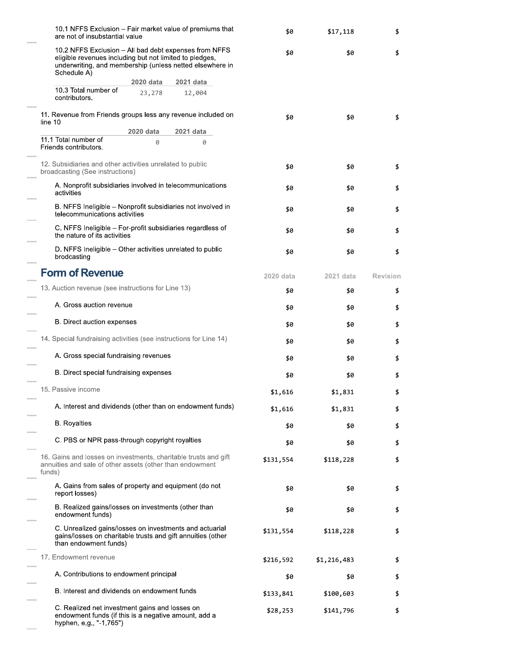| 10.1 NFFS Exclusion – Fair market value of premiums that<br>are not of insubstantial value                                                                                                  | \$0       | \$17,118  | \$        |             |                 |
|---------------------------------------------------------------------------------------------------------------------------------------------------------------------------------------------|-----------|-----------|-----------|-------------|-----------------|
| 10.2 NFFS Exclusion - All bad debt expenses from NFFS<br>eligible revenues including but not limited to pledges,<br>underwriting, and membership (unless netted elsewhere in<br>Schedule A) |           |           | \$0       | \$0         | \$              |
|                                                                                                                                                                                             | 2020 data | 2021 data |           |             |                 |
| 10.3 Total number of<br>contributors.                                                                                                                                                       | 23,278    | 12,004    |           |             |                 |
| 11. Revenue from Friends groups less any revenue included on<br>line 10                                                                                                                     |           |           | \$0       | \$0         | \$              |
|                                                                                                                                                                                             | 2020 data | 2021 data |           |             |                 |
| 11.1 Total number of<br>Friends contributors.                                                                                                                                               | 0         | 0         |           |             |                 |
| 12. Subsidiaries and other activities unrelated to public<br>broadcasting (See instructions)                                                                                                |           |           | \$0       | \$0         | \$              |
| A. Nonprofit subsidiaries involved in telecommunications<br>activities                                                                                                                      |           |           | \$0       | \$0         | \$              |
| B. NFFS Ineligible – Nonprofit subsidiaries not involved in<br>telecommunications activities                                                                                                |           |           | \$0       | \$0         | \$              |
| C. NFFS Ineligible – For-profit subsidiaries regardless of<br>the nature of its activities                                                                                                  |           |           | \$0       | \$0         | \$              |
| D. NFFS Ineligible – Other activities unrelated to public<br>brodcasting                                                                                                                    |           |           | \$0       | \$0         | \$              |
| <b>Form of Revenue</b>                                                                                                                                                                      |           |           | 2020 data | 2021 data   | <b>Revision</b> |
| 13. Auction revenue (see instructions for Line 13)                                                                                                                                          |           |           | \$0       | \$0         | \$              |
| A. Gross auction revenue                                                                                                                                                                    |           |           | \$0       | \$0         | \$              |
| B. Direct auction expenses                                                                                                                                                                  |           |           | \$0       | \$0         | \$              |
| 14. Special fundraising activities (see instructions for Line 14)                                                                                                                           |           |           | \$0       | \$0         | \$              |
| A. Gross special fundraising revenues                                                                                                                                                       |           |           | \$0       | \$0         | \$              |
| B. Direct special fundraising expenses                                                                                                                                                      |           |           | \$0       | \$0         | \$              |
| 15. Passive income                                                                                                                                                                          |           |           | \$1,616   | \$1,831     | \$              |
| A. Interest and dividends (other than on endowment funds)                                                                                                                                   |           |           | \$1,616   | \$1,831     | \$              |
| <b>B.</b> Royalties                                                                                                                                                                         |           |           | \$0       | \$0         | \$              |
| C. PBS or NPR pass-through copyright royalties                                                                                                                                              |           |           | \$0       | \$0         | \$              |
| 16. Gains and losses on investments, charitable trusts and gift<br>annuities and sale of other assets (other than endowment<br>funds)                                                       |           |           | \$131,554 | \$118,228   | \$              |
| A. Gains from sales of property and equipment (do not<br>report losses)                                                                                                                     |           |           | \$0       | \$0         | \$              |
| B. Realized gains/losses on investments (other than<br>endowment funds)                                                                                                                     |           |           | \$0       | \$0         | \$              |
| C. Unrealized gains/losses on investments and actuarial<br>gains/losses on charitable trusts and gift annuities (other<br>than endowment funds)                                             |           |           | \$131,554 | \$118,228   | \$              |
| 17. Endowment revenue                                                                                                                                                                       |           |           | \$216,592 | \$1,216,483 | \$              |
| A. Contributions to endowment principal                                                                                                                                                     |           |           | \$0       | \$0         | \$              |
| B. Interest and dividends on endowment funds                                                                                                                                                |           |           | \$133,841 | \$100,603   | \$              |
| C. Realized net investment gains and losses on<br>endowment funds (if this is a negative amount, add a<br>hyphen, e.g., "-1,765")                                                           |           |           | \$28,253  | \$141,796   | \$              |

 $\sim$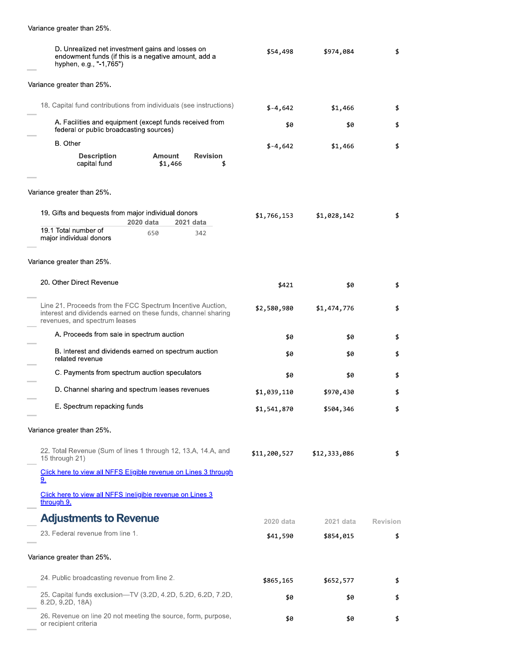| Variance greater than 25%.                                                                                                                                   |              |              |                 |
|--------------------------------------------------------------------------------------------------------------------------------------------------------------|--------------|--------------|-----------------|
| D. Unrealized net investment gains and losses on<br>endowment funds (if this is a negative amount, add a<br>hyphen, e.g., "-1,765")                          | \$54,498     | \$974,084    | \$              |
| Variance greater than 25%.                                                                                                                                   |              |              |                 |
| 18. Capital fund contributions from individuals (see instructions)                                                                                           | $$-4,642$    | \$1,466      | \$              |
| A. Facilities and equipment (except funds received from<br>federal or public broadcasting sources)                                                           | \$0          | \$0          | \$              |
| B. Other<br><b>Description</b><br>Amount<br><b>Revision</b>                                                                                                  | $$-4,642$    | \$1,466      | \$              |
| capital fund<br>\$1,466<br>\$                                                                                                                                |              |              |                 |
| Variance greater than 25%.                                                                                                                                   |              |              |                 |
| 19. Gifts and bequests from major individual donors<br>2020 data<br>2021 data                                                                                | \$1,766,153  | \$1,028,142  | \$              |
| 19.1 Total number of<br>650<br>342<br>major individual donors                                                                                                |              |              |                 |
| Variance greater than 25%.                                                                                                                                   |              |              |                 |
| 20. Other Direct Revenue                                                                                                                                     | \$421        | \$0          | \$              |
| Line 21. Proceeds from the FCC Spectrum Incentive Auction,<br>interest and dividends earned on these funds, channel sharing<br>revenues, and spectrum leases | \$2,580,980  | \$1,474,776  | \$              |
| A. Proceeds from sale in spectrum auction                                                                                                                    | \$0          | \$0          | \$              |
| B. Interest and dividends earned on spectrum auction<br>related revenue                                                                                      | \$0          | \$0          | \$              |
| C. Payments from spectrum auction speculators                                                                                                                | \$0          | \$0          | \$              |
| D. Channel sharing and spectrum leases revenues                                                                                                              | \$1,039,110  | \$970,430    | \$              |
| E. Spectrum repacking funds                                                                                                                                  | \$1,541,870  | \$504,346    | \$              |
| Variance greater than 25%.                                                                                                                                   |              |              |                 |
| 22. Total Revenue (Sum of lines 1 through 12, 13.A, 14.A, and<br>15 through 21)                                                                              | \$11,200,527 | \$12,333,086 | \$              |
| Click here to view all NFFS Eligible revenue on Lines 3 through<br>9.                                                                                        |              |              |                 |
| Click here to view all NFFS Ineligible revenue on Lines 3<br>through 9.                                                                                      |              |              |                 |
| <b>Adjustments to Revenue</b>                                                                                                                                | 2020 data    | 2021 data    | <b>Revision</b> |
| 23. Federal revenue from line 1.                                                                                                                             | \$41,590     | \$854,015    | \$              |
| Variance greater than 25%.                                                                                                                                   |              |              |                 |
| 24. Public broadcasting revenue from line 2.                                                                                                                 | \$865,165    | \$652,577    | \$              |
| 25. Capital funds exclusion-TV (3.2D, 4.2D, 5.2D, 6.2D, 7.2D,<br>8.2D, 9.2D, 18A)                                                                            | \$0          | \$0          | \$              |
| 26. Revenue on line 20 not meeting the source, form, purpose,                                                                                                | \$0          | \$0          | \$              |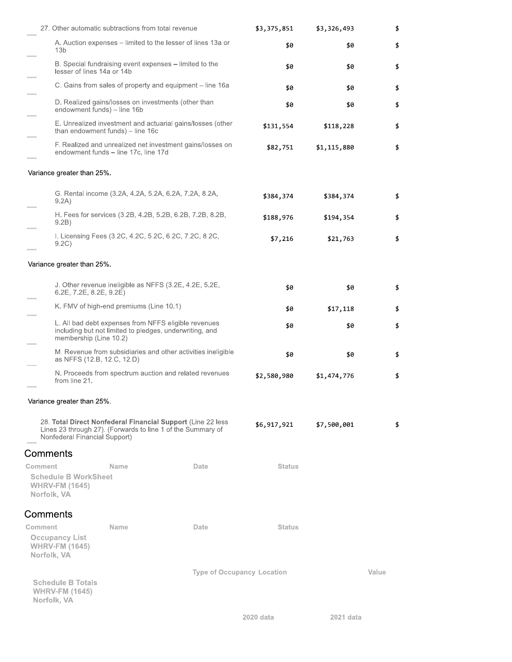| 27. Other automatic subtractions from total revenue                                                                                                         |                                                                                                                 |                                                              | \$3,375,851   | \$3,326,493 | \$    |
|-------------------------------------------------------------------------------------------------------------------------------------------------------------|-----------------------------------------------------------------------------------------------------------------|--------------------------------------------------------------|---------------|-------------|-------|
| 13 <sub>b</sub>                                                                                                                                             |                                                                                                                 | A. Auction expenses – limited to the lesser of lines 13a or  | \$0           | \$0         | \$    |
| lesser of lines 14a or 14b                                                                                                                                  | B. Special fundraising event expenses – limited to the                                                          |                                                              | \$0           | \$0         | \$    |
|                                                                                                                                                             |                                                                                                                 | C. Gains from sales of property and equipment – line 16a     | \$0           | \$0         | \$    |
| endowment funds) - line 16b                                                                                                                                 | D. Realized gains/losses on investments (other than                                                             |                                                              | \$0           | \$0         | \$    |
|                                                                                                                                                             | than endowment funds) - line 16c                                                                                | E. Unrealized investment and actuarial gains/losses (other   | \$131,554     | \$118,228   | \$    |
|                                                                                                                                                             | endowment funds - line 17c, line 17d                                                                            | F. Realized and unrealized net investment gains/losses on    | \$82,751      | \$1,115,880 | \$    |
| Variance greater than 25%.                                                                                                                                  |                                                                                                                 |                                                              |               |             |       |
| 9.2A)                                                                                                                                                       | G. Rental income (3.2A, 4.2A, 5.2A, 6.2A, 7.2A, 8.2A,                                                           |                                                              | \$384,374     | \$384,374   | \$    |
| 9.2B)                                                                                                                                                       |                                                                                                                 | H. Fees for services (3.2B, 4.2B, 5.2B, 6.2B, 7.2B, 8.2B,    | \$188,976     | \$194,354   | \$    |
| 9.2C)                                                                                                                                                       | I. Licensing Fees (3.2C, 4.2C, 5.2C, 6.2C, 7.2C, 8.2C,                                                          |                                                              | \$7,216       | \$21,763    | \$    |
| Variance greater than 25%.                                                                                                                                  |                                                                                                                 |                                                              |               |             |       |
| $6.2E$ , $7.2E$ , $8.2E$ , $9.2E$ )                                                                                                                         | J. Other revenue ineligible as NFFS (3.2E, 4.2E, 5.2E,                                                          |                                                              | \$0           | \$0         | \$    |
|                                                                                                                                                             | K. FMV of high-end premiums (Line 10.1)                                                                         |                                                              | \$0           | \$17,118    | \$    |
| membership (Line 10.2)                                                                                                                                      | L. All bad debt expenses from NFFS eligible revenues<br>including but not limited to pledges, underwriting, and |                                                              | \$0           | \$0         | \$    |
| as NFFS (12.B, 12.C, 12.D)                                                                                                                                  |                                                                                                                 | M. Revenue from subsidiaries and other activities ineligible | \$0           | \$0         | \$    |
| from line 21.                                                                                                                                               |                                                                                                                 | N. Proceeds from spectrum auction and related revenues       | \$2,580,980   | \$1,474,776 | \$    |
| Variance greater than 25%.                                                                                                                                  |                                                                                                                 |                                                              |               |             |       |
| 28. Total Direct Nonfederal Financial Support (Line 22 less<br>Lines 23 through 27). (Forwards to line 1 of the Summary of<br>Nonfederal Financial Support) |                                                                                                                 |                                                              | \$6,917,921   | \$7,500,001 | \$    |
| Comments                                                                                                                                                    |                                                                                                                 |                                                              |               |             |       |
| Comment<br><b>Schedule B WorkSheet</b><br><b>WHRV-FM (1645)</b><br>Norfolk, VA                                                                              | Name                                                                                                            | Date                                                         | <b>Status</b> |             |       |
| Comments                                                                                                                                                    |                                                                                                                 |                                                              |               |             |       |
| Comment<br><b>Occupancy List</b><br><b>WHRV-FM (1645)</b><br>Norfolk, VA                                                                                    | Name                                                                                                            | Date                                                         | <b>Status</b> |             |       |
| <b>Schedule B Totals</b><br><b>WHRV-FM (1645)</b><br>Norfolk, VA                                                                                            |                                                                                                                 | <b>Type of Occupancy Location</b>                            |               |             | Value |

2021 data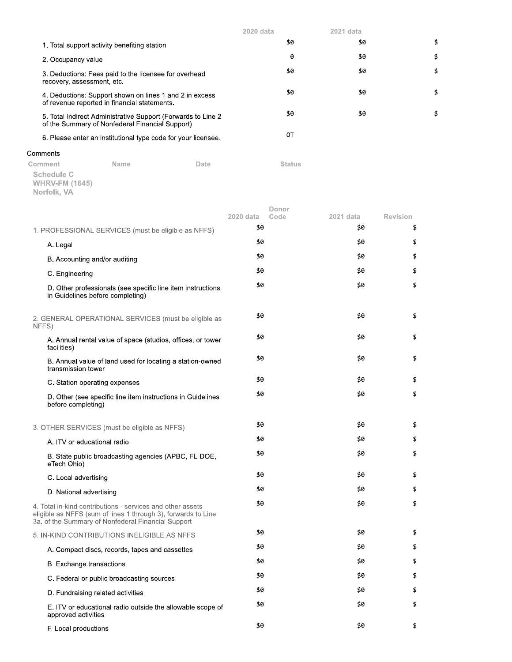|                                                                                                                  | $2020$ data | 2021 data |    |
|------------------------------------------------------------------------------------------------------------------|-------------|-----------|----|
| 1. Total support activity benefiting station                                                                     | \$0         | \$0       | \$ |
| 2. Occupancy value                                                                                               | 0           | \$0       | \$ |
| 3. Deductions: Fees paid to the licensee for overhead<br>recovery, assessment, etc.                              | \$0         | \$0       | \$ |
| 4. Deductions: Support shown on lines 1 and 2 in excess<br>of revenue reported in financial statements.          | \$0         | \$0       | \$ |
| 5. Total Indirect Administrative Support (Forwards to Line 2)<br>of the Summary of Nonfederal Financial Support) | \$0         | \$0       | \$ |
| 6. Please enter an institutional type code for your licensee.                                                    | OΤ          |           |    |
|                                                                                                                  |             |           |    |

## Comments

Comment Name Date **Status Schedule C<br>WHRV-FM (1645)<br>Norfolk, VA** 

|  |  |  | Nortolk, VA |  |
|--|--|--|-------------|--|
|  |  |  |             |  |

|                                                                                                                                                                                   | Donor                    |                  |                       |
|-----------------------------------------------------------------------------------------------------------------------------------------------------------------------------------|--------------------------|------------------|-----------------------|
|                                                                                                                                                                                   | 2020 data<br>Code<br>\$0 | 2021 data<br>\$0 | <b>Revision</b><br>\$ |
| 1. PROFESSIONAL SERVICES (must be eligible as NFFS)                                                                                                                               | \$0                      |                  |                       |
| A. Legal                                                                                                                                                                          |                          | \$0              | \$                    |
| B. Accounting and/or auditing                                                                                                                                                     | \$0                      | \$0              | \$                    |
| C. Engineering                                                                                                                                                                    | \$0                      | \$0              | \$                    |
| D. Other professionals (see specific line item instructions<br>in Guidelines before completing)                                                                                   | \$0                      | \$0              | \$                    |
| 2. GENERAL OPERATIONAL SERVICES (must be eligible as<br>NFFS)                                                                                                                     | \$0                      | \$0              | \$                    |
| A. Annual rental value of space (studios, offices, or tower<br>facilities)                                                                                                        | \$0                      | \$0              | \$                    |
| B. Annual value of land used for locating a station-owned<br>transmission tower                                                                                                   | \$0                      | \$0              | \$                    |
| C. Station operating expenses                                                                                                                                                     | \$0                      | \$0              | \$                    |
| D. Other (see specific line item instructions in Guidelines<br>before completing)                                                                                                 | \$0                      | \$0              | \$                    |
| 3. OTHER SERVICES (must be eligible as NFFS)                                                                                                                                      | \$0                      | \$0              | \$                    |
| A. ITV or educational radio                                                                                                                                                       | \$0                      | \$0              | \$                    |
| B. State public broadcasting agencies (APBC, FL-DOE,<br>eTech Ohio)                                                                                                               | \$0                      | \$0              | \$                    |
| C. Local advertising                                                                                                                                                              | \$0                      | \$0              | \$                    |
| D. National advertising                                                                                                                                                           | \$0                      | \$0              | \$                    |
| 4. Total in-kind contributions - services and other assets<br>eligible as NFFS (sum of lines 1 through 3), forwards to Line<br>3a. of the Summary of Nonfederal Financial Support | \$0                      | \$0              | \$                    |
| 5. IN-KIND CONTRIBUTIONS INELIGIBLE AS NFFS                                                                                                                                       | \$0                      | \$0              | \$                    |
| A. Compact discs, records, tapes and cassettes                                                                                                                                    | \$0                      | \$0              | \$                    |
| <b>B.</b> Exchange transactions                                                                                                                                                   | \$0                      | \$0              | \$                    |
| C. Federal or public broadcasting sources                                                                                                                                         | \$0                      | \$0              | \$                    |
| D. Fundraising related activities                                                                                                                                                 | \$0                      | \$0              | \$                    |
| E. ITV or educational radio outside the allowable scope of<br>approved activities                                                                                                 | \$0                      | \$0              | \$                    |
| F. Local productions                                                                                                                                                              | \$0                      | \$0              | \$                    |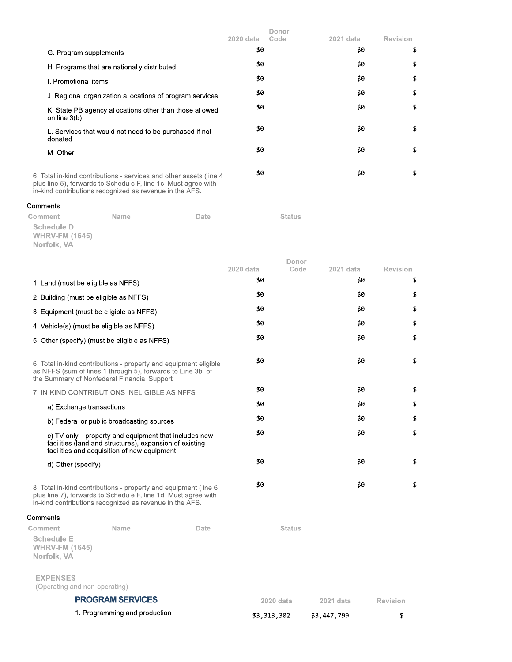|                                                                                                                                                                                                 | 2020 data | Donor<br>Code | 2021 data | <b>Revision</b> |
|-------------------------------------------------------------------------------------------------------------------------------------------------------------------------------------------------|-----------|---------------|-----------|-----------------|
| G. Program supplements                                                                                                                                                                          | \$0       |               | \$0       | \$              |
| H. Programs that are nationally distributed                                                                                                                                                     | \$0       |               | \$0       | \$              |
| I. Promotional items                                                                                                                                                                            | \$0       |               | \$0       | \$              |
| J. Regional organization allocations of program services                                                                                                                                        | \$0       |               | \$0       | \$              |
| K. State PB agency allocations other than those allowed<br>on line $3(b)$                                                                                                                       | \$0       |               | \$0       | \$              |
| L. Services that would not need to be purchased if not<br>donated                                                                                                                               | \$0       |               | \$0       | \$              |
| M. Other                                                                                                                                                                                        | \$0       |               | \$0       | \$              |
| 6. Total in-kind contributions - services and other assets (line 4<br>plus line 5), forwards to Schedule F, line 1c. Must agree with<br>in-kind contributions recognized as revenue in the AFS. | \$0       |               | \$0       | \$              |

**Status** 

Date

## Comments

Comment Name Schedule D **WHRV-FM (1645)** Norfolk, VA

|                                                           |                                                                                                                                                                                              |                  | Donor         |                  |                       |
|-----------------------------------------------------------|----------------------------------------------------------------------------------------------------------------------------------------------------------------------------------------------|------------------|---------------|------------------|-----------------------|
|                                                           |                                                                                                                                                                                              | 2020 data<br>\$0 | Code          | 2021 data<br>\$0 | <b>Revision</b><br>\$ |
| 1. Land (must be eligible as NFFS)                        |                                                                                                                                                                                              |                  |               |                  |                       |
| 2. Building (must be eligible as NFFS)                    |                                                                                                                                                                                              | \$0              |               | \$0              | \$                    |
| 3. Equipment (must be eligible as NFFS)                   |                                                                                                                                                                                              | \$0              |               | \$0              | \$                    |
| 4. Vehicle(s) (must be eligible as NFFS)                  |                                                                                                                                                                                              | \$0              |               | \$0              | \$                    |
|                                                           | 5. Other (specify) (must be eligible as NFFS)                                                                                                                                                | \$0              |               | \$0              | \$                    |
|                                                           | 6. Total in-kind contributions - property and equipment eligible<br>as NFFS (sum of lines 1 through 5), forwards to Line 3b. of<br>the Summary of Nonfederal Financial Support               | \$0              |               | \$0              | \$                    |
|                                                           | 7. IN-KIND CONTRIBUTIONS INELIGIBLE AS NFFS                                                                                                                                                  | \$0              |               | \$0              | \$                    |
| a) Exchange transactions                                  |                                                                                                                                                                                              | \$0              |               | \$0              | \$                    |
|                                                           | b) Federal or public broadcasting sources                                                                                                                                                    | \$0              |               | \$0              | \$                    |
|                                                           | c) TV only—property and equipment that includes new<br>facilities (land and structures), expansion of existing<br>facilities and acquisition of new equipment                                | \$0              |               | \$0              | \$                    |
| d) Other (specify)                                        |                                                                                                                                                                                              | \$0              |               | \$0              | \$                    |
|                                                           | 8. Total in-kind contributions - property and equipment (line 6<br>plus line 7), forwards to Schedule F, line 1d. Must agree with<br>in-kind contributions recognized as revenue in the AFS. | \$0              |               | \$0              | \$                    |
| Comments                                                  |                                                                                                                                                                                              |                  |               |                  |                       |
| Comment                                                   | Name<br>Date                                                                                                                                                                                 |                  | <b>Status</b> |                  |                       |
| <b>Schedule E</b><br><b>WHRV-FM (1645)</b><br>Norfolk, VA |                                                                                                                                                                                              |                  |               |                  |                       |
| <b>EXPENSES</b><br>(Operating and non-operating)          |                                                                                                                                                                                              |                  |               |                  |                       |

**PROGRAM SERVICES** 2020 data 2021 data Revision 1. Programming and production \$3,313,302 \$3,447,799  $\pmb{\mathfrak{p}}$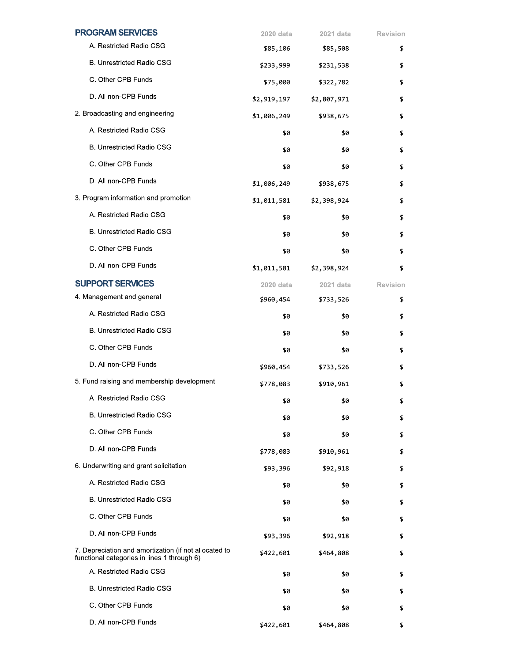| <b>PROGRAM SERVICES</b>                                                                              | 2020 data   | 2021 data   | <b>Revision</b> |
|------------------------------------------------------------------------------------------------------|-------------|-------------|-----------------|
| A. Restricted Radio CSG                                                                              | \$85,106    | \$85,508    | \$              |
| B. Unrestricted Radio CSG                                                                            | \$233,999   | \$231,538   | \$              |
| C. Other CPB Funds                                                                                   | \$75,000    | \$322,782   | \$              |
| D. All non-CPB Funds                                                                                 | \$2,919,197 | \$2,807,971 | \$              |
| 2. Broadcasting and engineering                                                                      | \$1,006,249 | \$938,675   | \$              |
| A. Restricted Radio CSG                                                                              | \$0         | \$0         | \$              |
| <b>B. Unrestricted Radio CSG</b>                                                                     | \$0         | \$0         | \$              |
| C. Other CPB Funds                                                                                   | \$0         | \$0         | \$              |
| D. All non-CPB Funds                                                                                 | \$1,006,249 | \$938,675   | \$              |
| 3. Program information and promotion                                                                 | \$1,011,581 | \$2,398,924 | \$              |
| A. Restricted Radio CSG                                                                              | \$0         | \$0         | \$              |
| B. Unrestricted Radio CSG                                                                            | \$0         | \$0         | \$              |
| C. Other CPB Funds                                                                                   | \$0         | \$0         | \$              |
| D. All non-CPB Funds                                                                                 | \$1,011,581 | \$2,398,924 | \$              |
| <b>SUPPORT SERVICES</b>                                                                              | 2020 data   | 2021 data   | <b>Revision</b> |
| 4. Management and general                                                                            | \$960,454   | \$733,526   | \$              |
| A. Restricted Radio CSG                                                                              | \$0         | \$0         | \$              |
| <b>B. Unrestricted Radio CSG</b>                                                                     | \$0         | \$0         | \$              |
| C. Other CPB Funds                                                                                   | \$0         | \$0         | \$              |
| D. All non-CPB Funds                                                                                 | \$960,454   | \$733,526   | \$              |
| 5. Fund raising and membership development                                                           | \$778,083   | \$910,961   | \$              |
| A. Restricted Radio CSG                                                                              | \$0         | \$0         | \$              |
| <b>B. Unrestricted Radio CSG</b>                                                                     | \$0         | \$0         | \$              |
| C. Other CPB Funds                                                                                   | \$0         | \$0         | \$              |
| D. All non-CPB Funds                                                                                 | \$778,083   | \$910,961   | \$              |
| 6. Underwriting and grant solicitation                                                               | \$93,396    | \$92,918    | \$              |
| A. Restricted Radio CSG                                                                              | \$0         | \$0         | \$              |
| <b>B. Unrestricted Radio CSG</b>                                                                     | \$0         | \$0         | \$              |
| C. Other CPB Funds                                                                                   | \$0         | \$0         | \$              |
| D. All non-CPB Funds                                                                                 | \$93,396    | \$92,918    | \$              |
| 7. Depreciation and amortization (if not allocated to<br>functional categories in lines 1 through 6) | \$422,601   | \$464,808   | \$              |
| A. Restricted Radio CSG                                                                              | \$0         | \$0         | \$              |
| <b>B. Unrestricted Radio CSG</b>                                                                     | \$0         | \$0         | \$              |
| C. Other CPB Funds                                                                                   | \$0         | \$0         | \$              |
| D. All non-CPB Funds                                                                                 | \$422,601   | \$464,808   | \$              |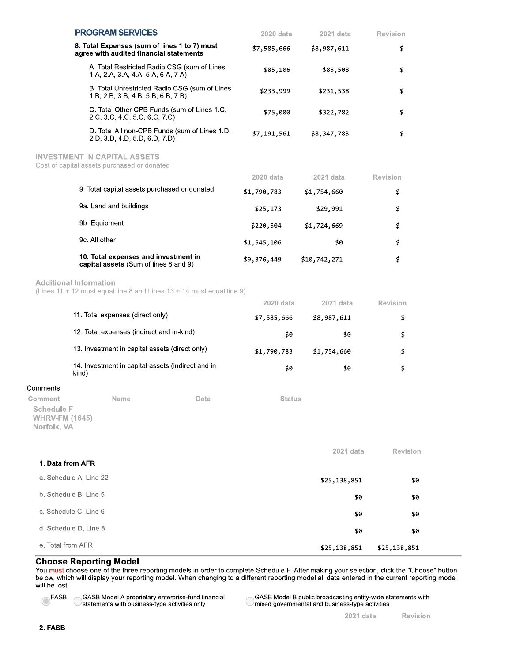|                                                           | <b>PROGRAM SERVICES</b>                                                            |                                                                                         |      | 2020 data   | 2021 data    | Revision        |
|-----------------------------------------------------------|------------------------------------------------------------------------------------|-----------------------------------------------------------------------------------------|------|-------------|--------------|-----------------|
|                                                           |                                                                                    | 8. Total Expenses (sum of lines 1 to 7) must<br>agree with audited financial statements |      | \$7,585,666 | \$8,987,611  | \$              |
|                                                           |                                                                                    | A. Total Restricted Radio CSG (sum of Lines<br>1.A, 2.A, 3.A, 4.A, 5.A, 6.A, 7.A)       |      | \$85,106    | \$85,508     | \$              |
|                                                           |                                                                                    | B. Total Unrestricted Radio CSG (sum of Lines<br>1.B, 2.B, 3.B, 4.B, 5.B, 6.B, 7.B)     |      | \$233,999   | \$231,538    | \$              |
|                                                           |                                                                                    | C. Total Other CPB Funds (sum of Lines 1.C.<br>2.C, 3.C, 4.C, 5.C, 6.C, 7.C)            |      | \$75,000    | \$322,782    | \$              |
|                                                           |                                                                                    | D. Total All non-CPB Funds (sum of Lines 1.D,<br>2.D, 3.D, 4.D, 5.D, 6.D, 7.D)          |      | \$7,191,561 | \$8,347,783  | \$              |
|                                                           | <b>INVESTMENT IN CAPITAL ASSETS</b><br>Cost of capital assets purchased or donated |                                                                                         |      |             |              |                 |
|                                                           |                                                                                    |                                                                                         |      | 2020 data   | 2021 data    | Revision        |
|                                                           |                                                                                    | 9. Total capital assets purchased or donated                                            |      | \$1,790,783 | \$1,754,660  | \$              |
|                                                           | 9a. Land and buildings                                                             |                                                                                         |      | \$25,173    | \$29,991     | \$              |
|                                                           | 9b. Equipment                                                                      |                                                                                         |      | \$220,504   | \$1,724,669  | \$              |
|                                                           | 9c. All other                                                                      |                                                                                         |      | \$1,545,106 | \$0          | \$              |
|                                                           |                                                                                    | 10. Total expenses and investment in<br>capital assets (Sum of lines 8 and 9)           |      | \$9,376,449 | \$10,742,271 | \$              |
|                                                           | <b>Additional Information</b>                                                      | (Lines $11 + 12$ must equal line 8 and Lines $13 + 14$ must equal line 9)               |      |             |              |                 |
|                                                           |                                                                                    |                                                                                         |      | 2020 data   | 2021 data    | <b>Revision</b> |
|                                                           | 11. Total expenses (direct only)                                                   |                                                                                         |      | \$7,585,666 | \$8,987,611  | \$              |
|                                                           |                                                                                    | 12. Total expenses (indirect and in-kind)                                               |      | \$0         | \$0          | \$              |
|                                                           |                                                                                    | 13. Investment in capital assets (direct only)                                          |      | \$1,790,783 | \$1,754,660  | \$              |
|                                                           | kind)                                                                              | 14. Investment in capital assets (indirect and in-                                      |      | \$0         | \$0          | \$              |
| Comments                                                  |                                                                                    |                                                                                         |      |             |              |                 |
| Comment                                                   | Name                                                                               |                                                                                         | Date | Status      |              |                 |
| <b>Schedule F</b><br><b>WHRV-FM (1645)</b><br>Norfolk, VA |                                                                                    |                                                                                         |      |             |              |                 |
|                                                           |                                                                                    |                                                                                         |      |             | 2021 data    | <b>Revision</b> |
| 1. Data from AFR                                          |                                                                                    |                                                                                         |      |             |              |                 |
|                                                           | a. Schedule A, Line 22                                                             |                                                                                         |      |             | \$25,138,851 | \$0             |
|                                                           | b. Schedule B, Line 5                                                              |                                                                                         |      |             | \$0          | \$0             |
|                                                           | c. Schedule C, Line 6                                                              |                                                                                         |      |             | \$0          | \$0             |
|                                                           | d. Schedule D, Line 8                                                              |                                                                                         |      |             | \$0          | \$0             |
| e. Total from AFR                                         |                                                                                    |                                                                                         |      |             | \$25,138,851 | \$25,138,851    |

## **Choose Reporting Model**

GASB Model A proprietary enterprise-fund financial

GASB MOULE A proprietary criterius rate ...

You must choose one of the three reporting models in order to complete Schedule F. After making your selection, click the "Choose" button<br>below, which will display your reporting model. When changing to a different reporti will be lost.



GASB Model B public broadcasting entity-wide statements with mixed governmental and business-type activities